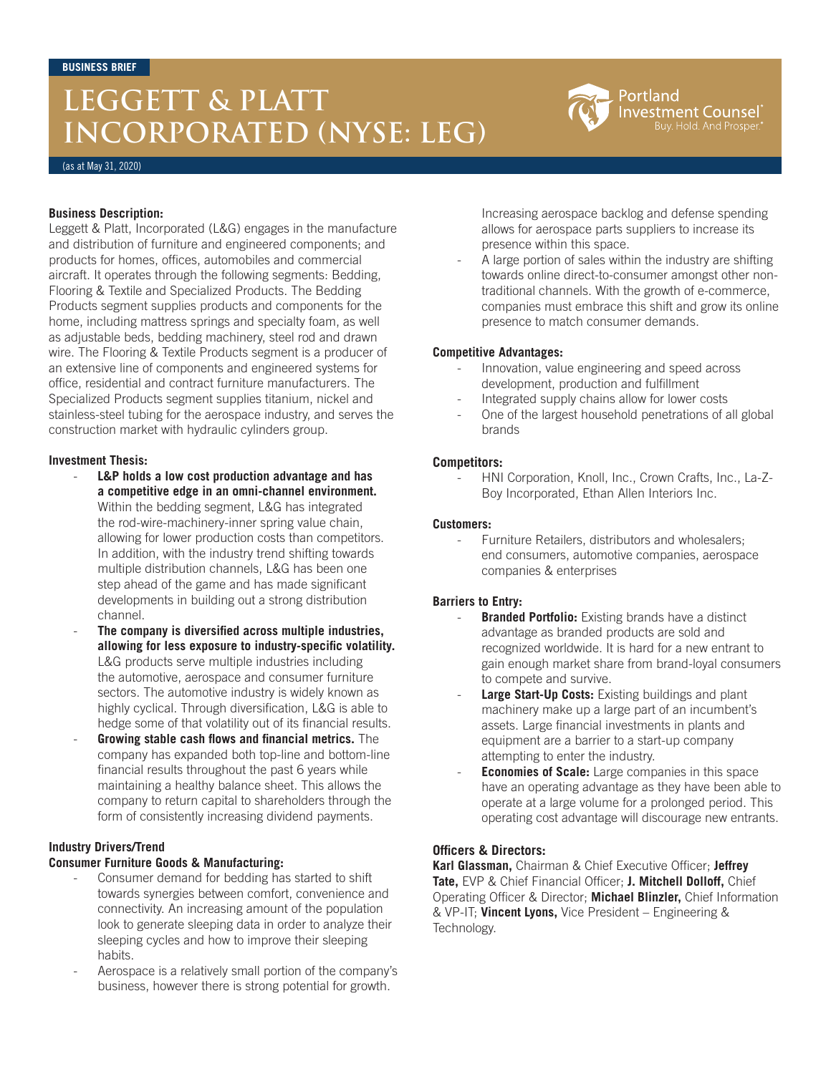# **LEGGETT & PLATT INCORPORATED (NYSE: LEG)**



(as at May 31, 2020)

### **Business Description:**

Leggett & Platt, Incorporated (L&G) engages in the manufacture and distribution of furniture and engineered components; and products for homes, offices, automobiles and commercial aircraft. It operates through the following segments: Bedding, Flooring & Textile and Specialized Products. The Bedding Products segment supplies products and components for the home, including mattress springs and specialty foam, as well as adjustable beds, bedding machinery, steel rod and drawn wire. The Flooring & Textile Products segment is a producer of an extensive line of components and engineered systems for office, residential and contract furniture manufacturers. The Specialized Products segment supplies titanium, nickel and stainless-steel tubing for the aerospace industry, and serves the construction market with hydraulic cylinders group.

### **Investment Thesis:**

- L&P holds a low cost production advantage and has **a competitive edge in an omni-channel environment.** Within the bedding segment, L&G has integrated the rod-wire-machinery-inner spring value chain, allowing for lower production costs than competitors. In addition, with the industry trend shifting towards multiple distribution channels, L&G has been one step ahead of the game and has made significant developments in building out a strong distribution channel.
- **The company is diversified across multiple industries, allowing for less exposure to industry-specific volatility.** L&G products serve multiple industries including the automotive, aerospace and consumer furniture sectors. The automotive industry is widely known as highly cyclical. Through diversification, L&G is able to hedge some of that volatility out of its financial results.
- Growing stable cash flows and financial metrics. The company has expanded both top-line and bottom-line financial results throughout the past 6 years while maintaining a healthy balance sheet. This allows the company to return capital to shareholders through the form of consistently increasing dividend payments.

#### **Industry Drivers/Trend**

#### **Consumer Furniture Goods & Manufacturing:**

- Consumer demand for bedding has started to shift towards synergies between comfort, convenience and connectivity. An increasing amount of the population look to generate sleeping data in order to analyze their sleeping cycles and how to improve their sleeping habits.
- Aerospace is a relatively small portion of the company's business, however there is strong potential for growth.

Increasing aerospace backlog and defense spending allows for aerospace parts suppliers to increase its presence within this space.

A large portion of sales within the industry are shifting towards online direct-to-consumer amongst other nontraditional channels. With the growth of e-commerce, companies must embrace this shift and grow its online presence to match consumer demands.

### **Competitive Advantages:**

- Innovation, value engineering and speed across development, production and fulfillment
- Integrated supply chains allow for lower costs
- One of the largest household penetrations of all global brands

# **Competitors:**

- HNI Corporation, Knoll, Inc., Crown Crafts, Inc., La-Z-Boy Incorporated, Ethan Allen Interiors Inc.

### **Customers:**

Furniture Retailers, distributors and wholesalers; end consumers, automotive companies, aerospace companies & enterprises

# **Barriers to Entry:**

- **Branded Portfolio:** Existing brands have a distinct advantage as branded products are sold and recognized worldwide. It is hard for a new entrant to gain enough market share from brand-loyal consumers to compete and survive.
- Large Start-Up Costs: Existing buildings and plant machinery make up a large part of an incumbent's assets. Large financial investments in plants and equipment are a barrier to a start-up company attempting to enter the industry.
- **Economies of Scale:** Large companies in this space have an operating advantage as they have been able to operate at a large volume for a prolonged period. This operating cost advantage will discourage new entrants.

# **Officers & Directors:**

**Karl Glassman,** Chairman & Chief Executive Officer; **Jeffrey Tate,** EVP & Chief Financial Officer; **J. Mitchell Dolloff,** Chief Operating Officer & Director; **Michael Blinzler,** Chief Information & VP-IT; **Vincent Lyons,** Vice President – Engineering & Technology.